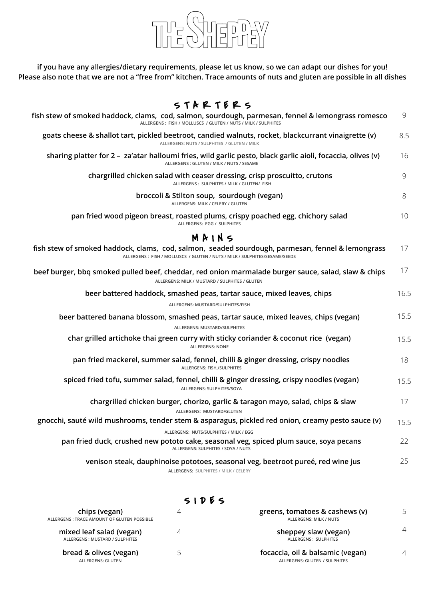

**if you have any allergies/dietary requirements, please let us know, so we can adapt our dishes for you! Please also note that we are not a "free from" kitchen. Trace amounts of nuts and gluten are possible in all dishes**

## $S T A R T E R S$

| fish stew of smoked haddock, clams, cod, salmon, sourdough, parmesan, fennel & lemongrass romesco<br>ALLERGENS: FISH / MOLLUSCS / GLUTEN / NUTS / MILK / SULPHITES             | 9    |
|--------------------------------------------------------------------------------------------------------------------------------------------------------------------------------|------|
| goats cheese & shallot tart, pickled beetroot, candied walnuts, rocket, blackcurrant vinaigrette (v)<br>ALLERGENS: NUTS / SULPHITES / GLUTEN / MILK                            | 8.5  |
| sharing platter for 2 - za'atar halloumi fries, wild garlic pesto, black garlic aioli, focaccia, olives (v)<br>ALLERGENS : GLUTEN / MILK / NUTS / SESAME                       | 16   |
| chargrilled chicken salad with ceaser dressing, crisp proscuitto, crutons<br>ALLERGENS: SULPHITES / MILK / GLUTEN/ FISH                                                        | 9    |
| broccoli & Stilton soup, sourdough (vegan)<br>ALLERGENS: MILK / CELERY / GLUTEN                                                                                                | 8    |
| pan fried wood pigeon breast, roasted plums, crispy poached egg, chichory salad<br>ALLERGENS: EGG / SULPHITES                                                                  | 10   |
| M R I N S                                                                                                                                                                      |      |
| fish stew of smoked haddock, clams, cod, salmon, seaded sourdough, parmesan, fennel & lemongrass<br>ALLERGENS: FISH / MOLLUSCS / GLUTEN / NUTS / MILK / SULPHITES/SESAME/SEEDS | 17   |
| beef burger, bbq smoked pulled beef, cheddar, red onion marmalade burger sauce, salad, slaw & chips<br>ALLERGENS: MILK / MUSTARD / SULPHITES / GLUTEN                          | 17   |
| beer battered haddock, smashed peas, tartar sauce, mixed leaves, chips                                                                                                         | 16.5 |
| ALLERGENS: MUSTARD/SULPHITES/FISH                                                                                                                                              |      |
| beer battered banana blossom, smashed peas, tartar sauce, mixed leaves, chips (vegan)<br><b>ALLERGENS: MUSTARD/SULPHITES</b>                                                   | 15.5 |
| char grilled artichoke thai green curry with sticky coriander & coconut rice (vegan)<br><b>ALLERGENS: NONE</b>                                                                 | 15.5 |
| pan fried mackerel, summer salad, fennel, chilli & ginger dressing, crispy noodles<br>ALLERGENS: FISH,/SULPHITES                                                               | 18   |
| spiced fried tofu, summer salad, fennel, chilli & ginger dressing, crispy noodles (vegan)<br>ALLERGENS: SULPHITES/SOYA                                                         | 15.5 |
| chargrilled chicken burger, chorizo, garlic & taragon mayo, salad, chips & slaw<br>ALLERGENS: MUSTARD/GLUTEN                                                                   | 17   |
| gnocchi, sauté wild mushrooms, tender stem & asparagus, pickled red onion, creamy pesto sauce (v)                                                                              | 15.5 |
| ALLERGENS: NUTS/SULPHITES / MILK / EGG                                                                                                                                         |      |
| pan fried duck, crushed new pototo cake, seasonal veg, spiced plum sauce, soya pecans<br>ALLERGENS: SULPHITES / SOYA / NUTS                                                    | 22   |
| venison steak, dauphinoise pototoes, seasonal veg, beetroot pureé, red wine jus<br>ALLERGENS: SULPHITES / MILK / CELERY                                                        | 25   |

## S I D E S

| chips (vegan)<br>ALLERGENS : TRACE AMOUNT OF GLUTEN POSSIBLE |   | greens, tomatoes & cashews (v)<br>ALLERGENS: MILK / NUTS          |   |
|--------------------------------------------------------------|---|-------------------------------------------------------------------|---|
| mixed leaf salad (vegan)<br>ALLERGENS: MUSTARD / SULPHITES   |   | sheppey slaw (vegan)<br>ALLERGENS: SULPHITES                      | 4 |
| bread & olives (vegan)<br>ALLERGENS: GLUTEN                  | ∽ | focaccia, oil & balsamic (vegan)<br>ALLERGENS: GLUTEN / SULPHITES | 4 |